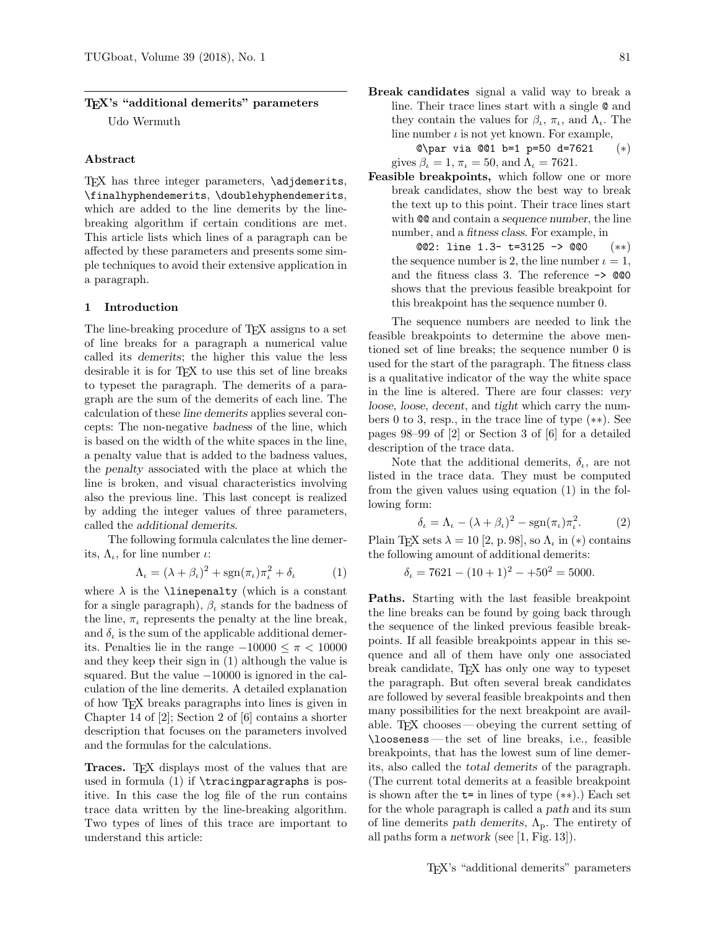# TEX's "additional demerits" parameters Udo Wermuth

#### Abstract

TEX has three integer parameters, \adjdemerits, \finalhyphendemerits, \doublehyphendemerits, which are added to the line demerits by the linebreaking algorithm if certain conditions are met. This article lists which lines of a paragraph can be affected by these parameters and presents some simple techniques to avoid their extensive application in a paragraph.

# 1 Introduction

The line-breaking procedure of TEX assigns to a set of line breaks for a paragraph a numerical value called its demerits; the higher this value the less desirable it is for TEX to use this set of line breaks to typeset the paragraph. The demerits of a paragraph are the sum of the demerits of each line. The calculation of these line demerits applies several concepts: The non-negative badness of the line, which is based on the width of the white spaces in the line, a penalty value that is added to the badness values, the penalty associated with the place at which the line is broken, and visual characteristics involving also the previous line. This last concept is realized by adding the integer values of three parameters, called the additional demerits.

The following formula calculates the line demerits,  $\Lambda_{\iota}$ , for line number  $\iota$ :

$$
\Lambda_{\iota} = (\lambda + \beta_{\iota})^2 + \operatorname{sgn}(\pi_{\iota})\pi_{\iota}^2 + \delta_{\iota} \tag{1}
$$

where  $\lambda$  is the **\linepenalty** (which is a constant for a single paragraph),  $\beta_{\iota}$  stands for the badness of the line,  $\pi_{\iota}$  represents the penalty at the line break, and  $\delta_{\iota}$  is the sum of the applicable additional demerits. Penalties lie in the range  $-10000 \leq \pi \leq 10000$ and they keep their sign in (1) although the value is squared. But the value −10000 is ignored in the calculation of the line demerits. A detailed explanation of how TEX breaks paragraphs into lines is given in Chapter 14 of [2]; Section 2 of [6] contains a shorter description that focuses on the parameters involved and the formulas for the calculations.

Traces. TEX displays most of the values that are used in formula  $(1)$  if  $\tau$ ingparagraphs is positive. In this case the log file of the run contains trace data written by the line-breaking algorithm. Two types of lines of this trace are important to understand this article:

Break candidates signal a valid way to break a line. Their trace lines start with a single @ and they contain the values for  $\beta_{\iota}, \pi_{\iota}$ , and  $\Lambda_{\iota}$ . The line number  $\iota$  is not yet known. For example,

@\par via @@1 b=1 p=50 d=7621 (∗) gives  $\beta_{\iota} = 1$ ,  $\pi_{\iota} = 50$ , and  $\Lambda_{\iota} = 7621$ .

- Feasible breakpoints, which follow one or more break candidates, show the best way to break the text up to this point. Their trace lines start with  $QQ$  and contain a sequence number, the line number, and a fitness class. For example, in
	- @@2: line 1.3- t=3125 -> @@0 (∗∗) the sequence number is 2, the line number  $\iota = 1$ , and the fitness class 3. The reference -> @@0 shows that the previous feasible breakpoint for this breakpoint has the sequence number 0.

The sequence numbers are needed to link the feasible breakpoints to determine the above mentioned set of line breaks; the sequence number 0 is used for the start of the paragraph. The fitness class is a qualitative indicator of the way the white space in the line is altered. There are four classes: very loose, loose, decent, and tight which carry the numbers 0 to 3, resp., in the trace line of type (∗∗). See pages 98–99 of [2] or Section 3 of [6] for a detailed description of the trace data.

Note that the additional demerits,  $\delta_{\iota}$ , are not listed in the trace data. They must be computed from the given values using equation (1) in the following form:

$$
\delta_{\iota} = \Lambda_{\iota} - (\lambda + \beta_{\iota})^2 - \operatorname{sgn}(\pi_{\iota}) \pi_{\iota}^2. \tag{2}
$$

Plain TEX sets  $\lambda = 10$  [2, p. 98], so  $\Lambda_{\iota}$  in (\*) contains the following amount of additional demerits:

 $\delta_{\iota} = 7621 - (10 + 1)^2 - 150^2 = 5000.$ 

Paths. Starting with the last feasible breakpoint the line breaks can be found by going back through the sequence of the linked previous feasible breakpoints. If all feasible breakpoints appear in this sequence and all of them have only one associated break candidate, TEX has only one way to typeset the paragraph. But often several break candidates are followed by several feasible breakpoints and then many possibilities for the next breakpoint are available. TEX chooses— obeying the current setting of \looseness — the set of line breaks, i.e., feasible breakpoints, that has the lowest sum of line demerits, also called the total demerits of the paragraph. (The current total demerits at a feasible breakpoint is shown after the  $t=$  in lines of type  $(**)$ .) Each set for the whole paragraph is called a path and its sum of line demerits path demerits,  $\Lambda_{p}$ . The entirety of all paths form a network (see [1, Fig. 13]).

TEX's "additional demerits" parameters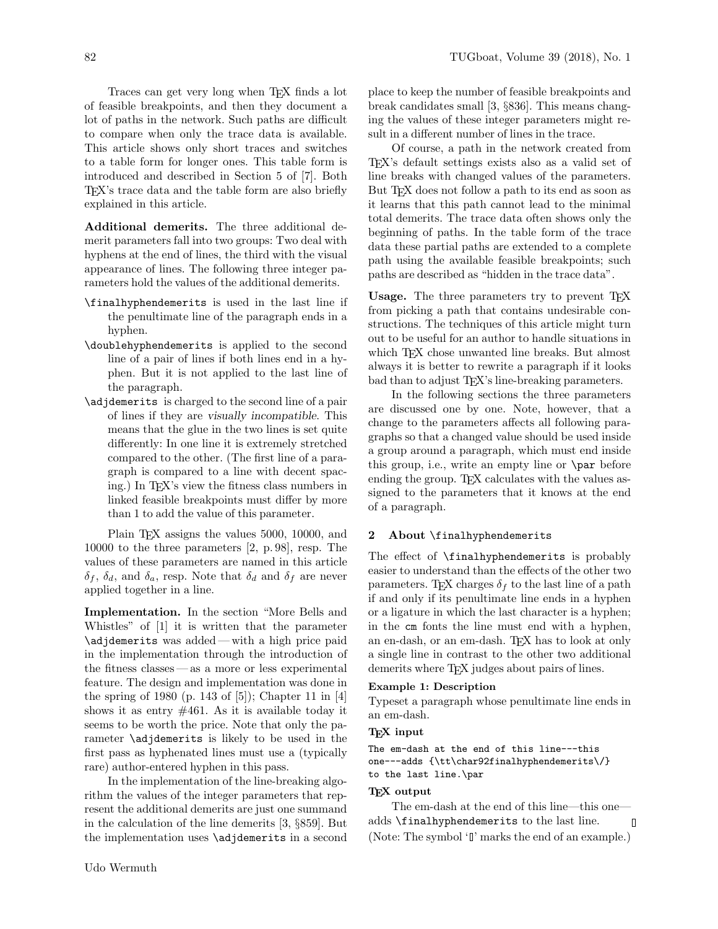Traces can get very long when T<sub>EX</sub> finds a lot of feasible breakpoints, and then they document a lot of paths in the network. Such paths are difficult to compare when only the trace data is available. This article shows only short traces and switches to a table form for longer ones. This table form is introduced and described in Section 5 of [7]. Both TEX's trace data and the table form are also briefly explained in this article.

Additional demerits. The three additional demerit parameters fall into two groups: Two deal with hyphens at the end of lines, the third with the visual appearance of lines. The following three integer parameters hold the values of the additional demerits.

- \finalhyphendemerits is used in the last line if the penultimate line of the paragraph ends in a hyphen.
- \doublehyphendemerits is applied to the second line of a pair of lines if both lines end in a hyphen. But it is not applied to the last line of the paragraph.
- \adjdemerits is charged to the second line of a pair of lines if they are visually incompatible. This means that the glue in the two lines is set quite differently: In one line it is extremely stretched compared to the other. (The first line of a paragraph is compared to a line with decent spacing.) In TEX's view the fitness class numbers in linked feasible breakpoints must differ by more than 1 to add the value of this parameter.

Plain T<sub>E</sub>X assigns the values 5000, 10000, and 10000 to the three parameters [2, p. 98], resp. The values of these parameters are named in this article  $\delta_f$ ,  $\delta_d$ , and  $\delta_a$ , resp. Note that  $\delta_d$  and  $\delta_f$  are never applied together in a line.

Implementation. In the section "More Bells and Whistles" of [1] it is written that the parameter \adjdemerits was added — with a high price paid in the implementation through the introduction of the fitness classes — as a more or less experimental feature. The design and implementation was done in the spring of 1980 (p. 143 of [5]); Chapter 11 in [4] shows it as entry  $\#461$ . As it is available today it seems to be worth the price. Note that only the parameter \adjdemerits is likely to be used in the first pass as hyphenated lines must use a (typically rare) author-entered hyphen in this pass.

In the implementation of the line-breaking algorithm the values of the integer parameters that represent the additional demerits are just one summand in the calculation of the line demerits [3, §859]. But the implementation uses \adjdemerits in a second place to keep the number of feasible breakpoints and break candidates small [3, §836]. This means changing the values of these integer parameters might result in a different number of lines in the trace.

Of course, a path in the network created from TEX's default settings exists also as a valid set of line breaks with changed values of the parameters. But TEX does not follow a path to its end as soon as it learns that this path cannot lead to the minimal total demerits. The trace data often shows only the beginning of paths. In the table form of the trace data these partial paths are extended to a complete path using the available feasible breakpoints; such paths are described as "hidden in the trace data".

Usage. The three parameters try to prevent T<sub>E</sub>X from picking a path that contains undesirable constructions. The techniques of this article might turn out to be useful for an author to handle situations in which T<sub>EX</sub> chose unwanted line breaks. But almost always it is better to rewrite a paragraph if it looks bad than to adjust TEX's line-breaking parameters.

In the following sections the three parameters are discussed one by one. Note, however, that a change to the parameters affects all following paragraphs so that a changed value should be used inside a group around a paragraph, which must end inside this group, i.e., write an empty line or \par before ending the group. T<sub>F</sub>X calculates with the values assigned to the parameters that it knows at the end of a paragraph.

# 2 About \finalhyphendemerits

The effect of \finalhyphendemerits is probably easier to understand than the effects of the other two parameters. TEX charges  $\delta_f$  to the last line of a path if and only if its penultimate line ends in a hyphen or a ligature in which the last character is a hyphen; in the cm fonts the line must end with a hyphen, an en-dash, or an em-dash. TEX has to look at only a single line in contrast to the other two additional demerits where T<sub>EX</sub> judges about pairs of lines.

#### Example 1: Description

Typeset a paragraph whose penultimate line ends in an em-dash.

# TEX input

```
The em-dash at the end of this line---this
one---adds {\tt\char92finalhyphendemerits\/}
to the last line.\par
```
# TEX output

The em-dash at the end of this line—this one adds \finalhyphendemerits to the last line.  $\overline{\mathsf{I}}$ (Note: The symbol 'I' marks the end of an example.)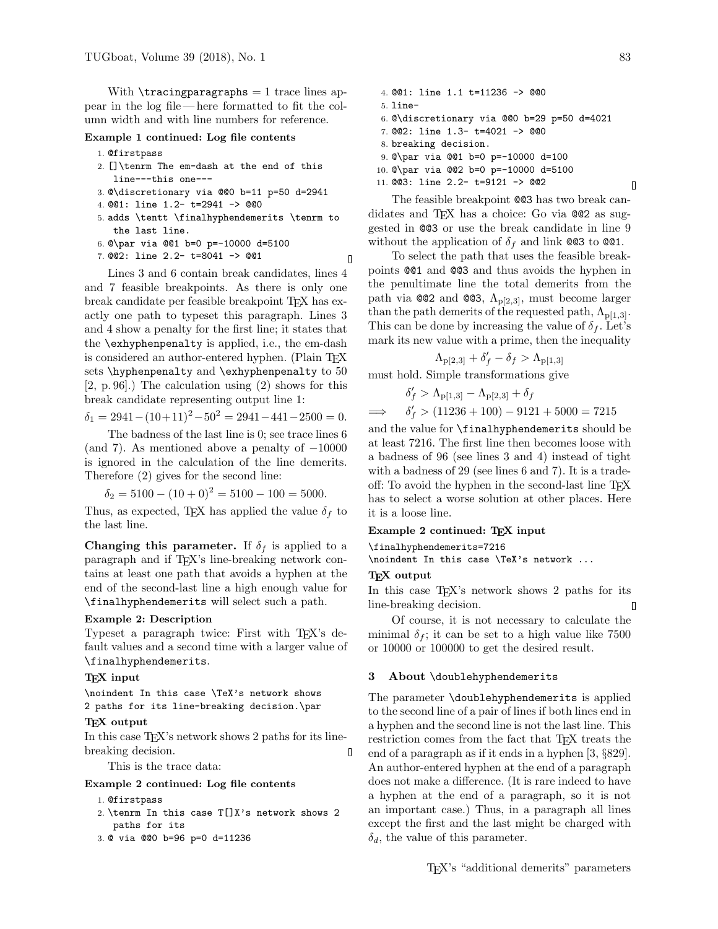With  $\tau$  is tracing paragraphs = 1 trace lines appear in the log file— here formatted to fit the column width and with line numbers for reference.

# Example 1 continued: Log file contents

- 1. @firstpass
- 2. []\tenrm The em-dash at the end of this line---this one---
- 3. @\discretionary via @@0 b=11 p=50 d=2941
- 4. @@1: line 1.2- t=2941 -> @@0
- 5. adds \tentt \finalhyphendemerits \tenrm to the last line.
- 6. @\par via @@1 b=0 p=-10000 d=5100
- 7. @@2: line 2.2- t=8041 -> @@1

Lines 3 and 6 contain break candidates, lines 4 and 7 feasible breakpoints. As there is only one break candidate per feasible breakpoint TEX has exactly one path to typeset this paragraph. Lines 3 and 4 show a penalty for the first line; it states that the \exhyphenpenalty is applied, i.e., the em-dash is considered an author-entered hyphen. (Plain T<sub>EX</sub> sets \hyphenpenalty and \exhyphenpenalty to 50 [2, p. 96].) The calculation using (2) shows for this break candidate representing output line 1:

 $\delta_1 = 2941 - (10+11)^2 - 50^2 = 2941 - 441 - 2500 = 0.$ 

The badness of the last line is 0; see trace lines 6 (and 7). As mentioned above a penalty of  $-10000$ is ignored in the calculation of the line demerits. Therefore (2) gives for the second line:

$$
\delta_2 = 5100 - (10 + 0)^2 = 5100 - 100 = 5000.
$$

Thus, as expected, TEX has applied the value  $\delta_f$  to the last line.

Changing this parameter. If  $\delta_f$  is applied to a paragraph and if TEX's line-breaking network contains at least one path that avoids a hyphen at the end of the second-last line a high enough value for \finalhyphendemerits will select such a path.

# Example 2: Description

Typeset a paragraph twice: First with T<sub>E</sub>X's default values and a second time with a larger value of \finalhyphendemerits.

### TEX input

\noindent In this case \TeX's network shows 2 paths for its line-breaking decision.\par

## TEX output

In this case T<sub>EX</sub>'s network shows 2 paths for its linebreaking decision. П

This is the trace data:

#### Example 2 continued: Log file contents

- 1. @firstpass
- 2. \tenrm In this case T[]X's network shows 2 paths for its
- 3. @ via @@0 b=96 p=0 d=11236

4. @@1: line 1.1 t=11236 -> @@0 5. line-6. @\discretionary via @@0 b=29 p=50 d=4021 7. @@2: line 1.3- t=4021 -> @@0 8. breaking decision. 9. @\par via @@1 b=0 p=-10000 d=100 10. @\par via @@2 b=0 p=-10000 d=5100 11. @@3: line 2.2- t=9121 -> @@2

The feasible breakpoint @@3 has two break candidates and TFX has a choice: Go via @@2 as suggested in @@3 or use the break candidate in line 9 without the application of  $\delta_f$  and link @@3 to @@1.

To select the path that uses the feasible breakpoints @@1 and @@3 and thus avoids the hyphen in the penultimate line the total demerits from the path via @@2 and @@3,  $\Lambda_{p[2,3]}$ , must become larger than the path demerits of the requested path,  $\Lambda_{p[1,3]}$ . This can be done by increasing the value of  $\delta_f$ . Let's mark its new value with a prime, then the inequality

$$
\Lambda_{\text{p}[2,3]} + \delta'_f - \delta_f > \Lambda_{\text{p}[1,3]}
$$

must hold. Simple transformations give

$$
\delta'_f > \Lambda_{p[1,3]} - \Lambda_{p[2,3]} + \delta_f
$$
  
\n
$$
\implies \delta'_f > (11236 + 100) - 9121 + 5000 = 7215
$$

and the value for \finalhyphendemerits should be at least 7216. The first line then becomes loose with a badness of 96 (see lines 3 and 4) instead of tight with a badness of 29 (see lines 6 and 7). It is a tradeoff: To avoid the hyphen in the second-last line TEX has to select a worse solution at other places. Here it is a loose line.

#### Example 2 continued: TEX input

\finalhyphendemerits=7216

\noindent In this case \TeX's network ...

### TEX output

 $\mathbf{I}$ 

In this case T<sub>FX</sub>'s network shows 2 paths for its line-breaking decision. 0

Of course, it is not necessary to calculate the minimal  $\delta_f$ ; it can be set to a high value like 7500 or 10000 or 100000 to get the desired result.

#### 3 About \doublehyphendemerits

The parameter \doublehyphendemerits is applied to the second line of a pair of lines if both lines end in a hyphen and the second line is not the last line. This restriction comes from the fact that T<sub>EX</sub> treats the end of a paragraph as if it ends in a hyphen [3, §829]. An author-entered hyphen at the end of a paragraph does not make a difference. (It is rare indeed to have a hyphen at the end of a paragraph, so it is not an important case.) Thus, in a paragraph all lines except the first and the last might be charged with  $\delta_d$ , the value of this parameter.

 $\Box$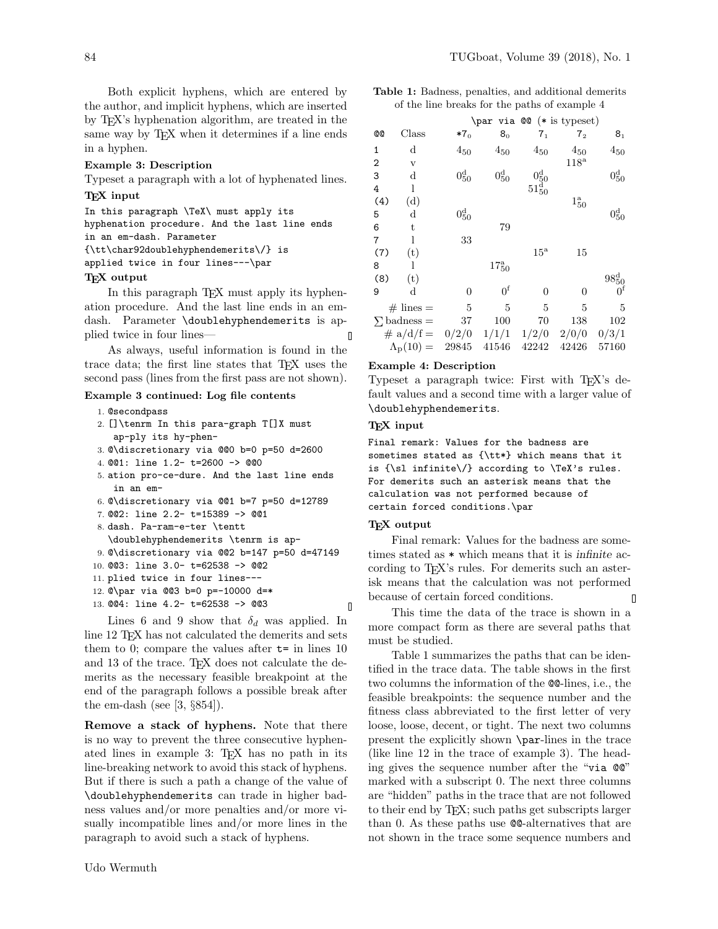Both explicit hyphens, which are entered by the author, and implicit hyphens, which are inserted by TEX's hyphenation algorithm, are treated in the same way by TEX when it determines if a line ends in a hyphen.

#### Example 3: Description

Typeset a paragraph with a lot of hyphenated lines.

## T<sub>F</sub>X input

In this paragraph \TeX\ must apply its hyphenation procedure. And the last line ends in an em-dash. Parameter {\tt\char92doublehyphendemerits\/} is applied twice in four lines---\par

#### TEX output

In this paragraph T<sub>E</sub>X must apply its hyphenation procedure. And the last line ends in an emdash. Parameter \doublehyphendemerits is applied twice in four lines— Л

As always, useful information is found in the trace data; the first line states that TEX uses the second pass (lines from the first pass are not shown).

## Example 3 continued: Log file contents

- 1. @secondpass
- 2. []\tenrm In this para-graph T[]X must ap-ply its hy-phen-
- 3. @\discretionary via @@0 b=0 p=50 d=2600
- 4. @@1: line 1.2- t=2600 -> @@0
- 5. ation pro-ce-dure. And the last line ends in an em-
- 6. @\discretionary via @@1 b=7 p=50 d=12789
- 7. @@2: line 2.2- t=15389 -> @@1
- 8. dash. Pa-ram-e-ter \tentt
- \doublehyphendemerits \tenrm is ap-9. @\discretionary via @@2 b=147 p=50 d=47149
- 10. @@3: line 3.0- t=62538 -> @@2
- 11. plied twice in four lines---
- 12. @\par via @@3 b=0 p=-10000 d=\*
- 13. @@4: line 4.2- t=62538 -> @@3
	-

Lines 6 and 9 show that  $\delta_d$  was applied. In line 12 T<sub>F</sub>X has not calculated the demerits and sets them to 0; compare the values after  $t=$  in lines 10 and 13 of the trace. TEX does not calculate the demerits as the necessary feasible breakpoint at the end of the paragraph follows a possible break after the em-dash (see  $[3, \S 854]$ ).

Remove a stack of hyphens. Note that there is no way to prevent the three consecutive hyphenated lines in example 3: TEX has no path in its line-breaking network to avoid this stack of hyphens. But if there is such a path a change of the value of \doublehyphendemerits can trade in higher badness values and/or more penalties and/or more visually incompatible lines and/or more lines in the paragraph to avoid such a stack of hyphens.

Table 1: Badness, penalties, and additional demerits of the line breaks for the paths of example 4

|                         |             |                  |                   |                                                                       | $\parrow xia \oslash 0$ (* is typeset) |                   |
|-------------------------|-------------|------------------|-------------------|-----------------------------------------------------------------------|----------------------------------------|-------------------|
| <b>@@</b>               | Class       | $*7_0$           | 8 <sub>0</sub>    | $7_1$                                                                 | $7_{2}$                                | 8 <sub>1</sub>    |
| 1                       | d           | $4_{50}$         | $4_{50}$          | $4_{50}$                                                              | $\sqrt{450}$                           | $4_{50}$          |
| 2                       | $\mathbf v$ |                  |                   |                                                                       | $118^{\rm a}$                          |                   |
| 3                       | $\rm d$     | $0^{\rm d}_{50}$ | $0_{50}^d$        |                                                                       |                                        | $0^{\rm d}_{50}$  |
| 4                       | 1           |                  |                   | $\begin{array}{c} 0^{\text{d}}_{50}\\ 51^{\text{d}}_{50} \end{array}$ |                                        |                   |
| (4)                     | (d)         |                  |                   |                                                                       | $1_{50}^a$                             |                   |
| 5                       | d           | $0_{50}^{\rm d}$ |                   |                                                                       |                                        | $0^{\rm d}_{50}$  |
| 6                       | t           |                  | 79                |                                                                       |                                        |                   |
| $\overline{7}$          | 1           | 33               |                   |                                                                       |                                        |                   |
| (7)                     | (t)         |                  |                   | $15^{\rm a}$                                                          | 15                                     |                   |
| 8                       |             |                  | $17^{\rm a}_{50}$ |                                                                       |                                        |                   |
| (8)                     | (t)         |                  |                   |                                                                       |                                        | $98^{\rm d}_{50}$ |
| 9                       | d           | 0                | 0 <sup>f</sup>    | $\theta$                                                              | 0                                      |                   |
| $\#$ lines $=$          |             | 5                | 5                 | 5                                                                     | 5                                      | 5                 |
| $\Sigma$ badness =      |             | 37               | 100               | 70                                                                    | 138                                    | 102               |
| # $a/d/f = 0/2/0 1/1/1$ |             |                  |                   | 1/2/0                                                                 | 2/0/0                                  | 0/3/1             |
| $\Lambda_{\rm p}(10) =$ |             | 29845            | 41546             | 42242                                                                 | 42426                                  | 57160             |

# Example 4: Description

Typeset a paragraph twice: First with T<sub>EX</sub>'s default values and a second time with a larger value of \doublehyphendemerits.

#### TEX input

Final remark: Values for the badness are sometimes stated as {\tt\*} which means that it is {\sl infinite\/} according to \TeX's rules. For demerits such an asterisk means that the calculation was not performed because of certain forced conditions.\par

## TEX output

 $\Box$ 

Final remark: Values for the badness are sometimes stated as \* which means that it is infinite according to T<sub>EX</sub>'s rules. For demerits such an asterisk means that the calculation was not performed because of certain forced conditions.  $\overline{\mathsf{I}}$ 

This time the data of the trace is shown in a more compact form as there are several paths that must be studied.

Table 1 summarizes the paths that can be identified in the trace data. The table shows in the first two columns the information of the @@-lines, i.e., the feasible breakpoints: the sequence number and the fitness class abbreviated to the first letter of very loose, loose, decent, or tight. The next two columns present the explicitly shown \par-lines in the trace (like line 12 in the trace of example 3). The heading gives the sequence number after the "via @@" marked with a subscript 0. The next three columns are "hidden" paths in the trace that are not followed to their end by TEX; such paths get subscripts larger than 0. As these paths use @@-alternatives that are not shown in the trace some sequence numbers and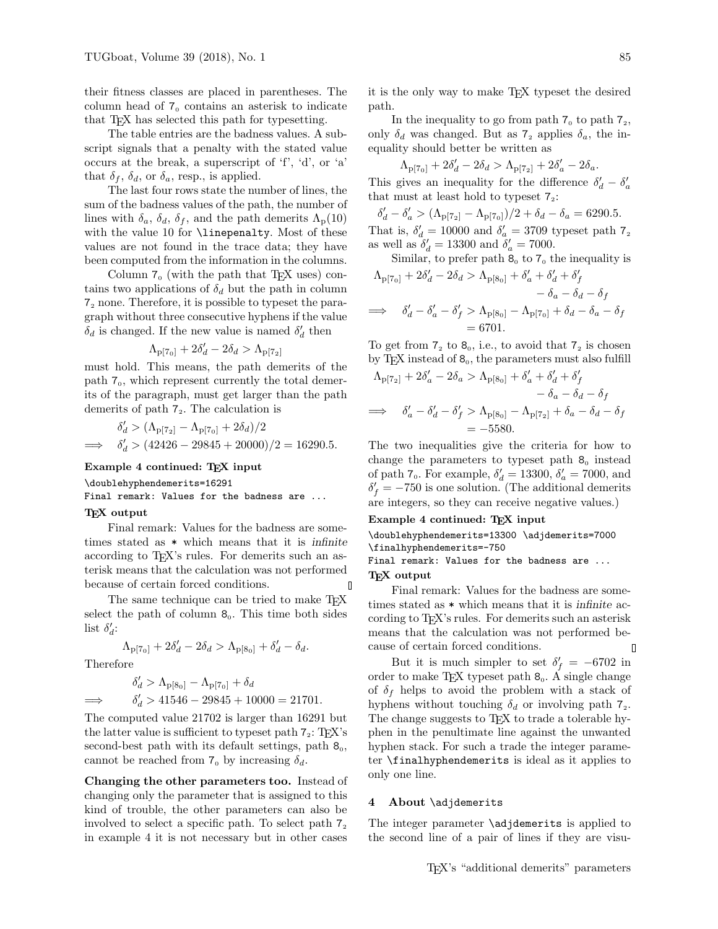their fitness classes are placed in parentheses. The column head of  $7<sub>0</sub>$  contains an asterisk to indicate that TEX has selected this path for typesetting.

The table entries are the badness values. A subscript signals that a penalty with the stated value occurs at the break, a superscript of 'f', 'd', or 'a' that  $\delta_f$ ,  $\delta_d$ , or  $\delta_a$ , resp., is applied.

The last four rows state the number of lines, the sum of the badness values of the path, the number of lines with  $\delta_a$ ,  $\delta_d$ ,  $\delta_f$ , and the path demerits  $\Lambda_{\rm p}(10)$ with the value 10 for \linepenalty. Most of these values are not found in the trace data; they have been computed from the information in the columns.

Column  $7_0$  (with the path that T<sub>E</sub>X uses) contains two applications of  $\delta_d$  but the path in column 7<sup>2</sup> none. Therefore, it is possible to typeset the paragraph without three consecutive hyphens if the value  $\delta_d$  is changed. If the new value is named  $\delta'_d$  $d$  then

$$
\Lambda_{\text{p}[7_0]}+2\delta_d'-2\delta_d>\Lambda_{\text{p}[7_2]}
$$

must hold. This means, the path demerits of the path  $7<sub>0</sub>$ , which represent currently the total demerits of the paragraph, must get larger than the path demerits of path  $7<sub>2</sub>$ . The calculation is

$$
\delta_d' > (\Lambda_{\text{p}[7_2]} - \Lambda_{\text{p}[7_0]} + 2\delta_d)/2
$$
  

$$
\implies \delta_d' > (42426 - 29845 + 20000)/2 = 16290.5.
$$

Example 4 continued: TEX input

\doublehyphendemerits=16291

Final remark: Values for the badness are ...

# TEX output

Final remark: Values for the badness are sometimes stated as \* which means that it is infinite according to T<sub>EX</sub>'s rules. For demerits such an asterisk means that the calculation was not performed because of certain forced conditions.  $\mathsf{\Pi}$ 

The same technique can be tried to make T<sub>E</sub>X select the path of column  $\mathcal{B}_0$ . This time both sides list  $\delta_d$ :

$$
\Lambda_{\mathbf{p}[7_0]} + 2\delta_d' - 2\delta_d > \Lambda_{\mathbf{p}[8_0]} + \delta_d' - \delta_d.
$$

Therefore

$$
\delta'_d > \Lambda_{p[8_0]} - \Lambda_{p[7_0]} + \delta_d
$$
  

$$
\implies \delta'_d > 41546 - 29845 + 10000 = 21701.
$$

The computed value 21702 is larger than 16291 but the latter value is sufficient to typeset path  $7<sub>2</sub>$ : T<sub>E</sub>X's second-best path with its default settings, path  $\mathcal{B}_0$ , cannot be reached from  $7_0$  by increasing  $\delta_d$ .

Changing the other parameters too. Instead of changing only the parameter that is assigned to this kind of trouble, the other parameters can also be involved to select a specific path. To select path  $7<sub>2</sub>$ in example 4 it is not necessary but in other cases

it is the only way to make TEX typeset the desired path.

In the inequality to go from path  $7_0$  to path  $7_2$ , only  $\delta_d$  was changed. But as  $7_2$  applies  $\delta_a$ , the inequality should better be written as

$$
\Lambda_{\text{p}[7_0]} + 2\delta_d' - 2\delta_d > \Lambda_{\text{p}[7_2]} + 2\delta_a' - 2\delta_a.
$$

This gives an inequality for the difference  $\delta_d' - \delta_a'$ that must at least hold to typeset  $7<sub>2</sub>$ :

 $\delta'_d - \delta'_a > (\Lambda_{\text{p}[7_2]} - \Lambda_{\text{p}[7_0]})/2 + \delta_d - \delta_a = 6290.5.$ That is,  $\delta_d' = 10000$  and  $\delta_a' = 3709$  typeset path  $7<sub>2</sub>$ as well as  $\delta_d' = 13300$  and  $\delta_a' = 7000$ .

Similar, to prefer path 8<sub>0</sub> to 7<sub>0</sub> the inequality is  
\n
$$
\Lambda_{\text{p}[7_0]} + 2\delta_d' - 2\delta_d > \Lambda_{\text{p}[8_0]} + \delta_a' + \delta_d' + \delta_f'
$$
\n
$$
- \delta_a - \delta_d - \delta_f
$$
\n
$$
\implies \delta_d' - \delta_a' - \delta_f' > \Lambda_{\text{p}[8_0]} - \Lambda_{\text{p}[7_0]} + \delta_d - \delta_a - \delta_f
$$
\n
$$
= 6701.
$$

To get from  $7<sub>2</sub>$  to  $8<sub>0</sub>$ , i.e., to avoid that  $7<sub>2</sub>$  is chosen by TEX instead of  $\mathcal{B}_0$ , the parameters must also fulfill

$$
\Lambda_{\mathbf{p}[7_2]} + 2\delta'_a - 2\delta_a > \Lambda_{\mathbf{p}[8_0]} + \delta'_a + \delta'_d + \delta'_f
$$
  

$$
- \delta_a - \delta_d - \delta_f
$$
  

$$
\implies \delta'_a - \delta'_d - \delta'_f > \Lambda_{\mathbf{p}[8_0]} - \Lambda_{\mathbf{p}[7_2]} + \delta_a - \delta_d - \delta_f
$$
  

$$
= -5580.
$$

The two inequalities give the criteria for how to change the parameters to typeset path  $\mathcal{B}_0$  instead of path  $7_0$ . For example,  $\delta_d' = 13300$ ,  $\delta_d' = 7000$ , and  $\delta'_f = -750$  is one solution. (The additional demerits are integers, so they can receive negative values.)

#### Example 4 continued: TEX input

\doublehyphendemerits=13300 \adjdemerits=7000 \finalhyphendemerits=-750

Final remark: Values for the badness are ... TEX output

Final remark: Values for the badness are sometimes stated as \* which means that it is infinite according to T<sub>E</sub>X's rules. For demerits such an asterisk means that the calculation was not performed because of certain forced conditions. Π

But it is much simpler to set  $\delta'_f = -6702$  in order to make TEX typeset path  $8_0$ . A single change of  $\delta_f$  helps to avoid the problem with a stack of hyphens without touching  $\delta_d$  or involving path  $7_2$ . The change suggests to TEX to trade a tolerable hyphen in the penultimate line against the unwanted hyphen stack. For such a trade the integer parameter \finalhyphendemerits is ideal as it applies to only one line.

#### 4 About \adjdemerits

The integer parameter **\adjdemerits** is applied to the second line of a pair of lines if they are visu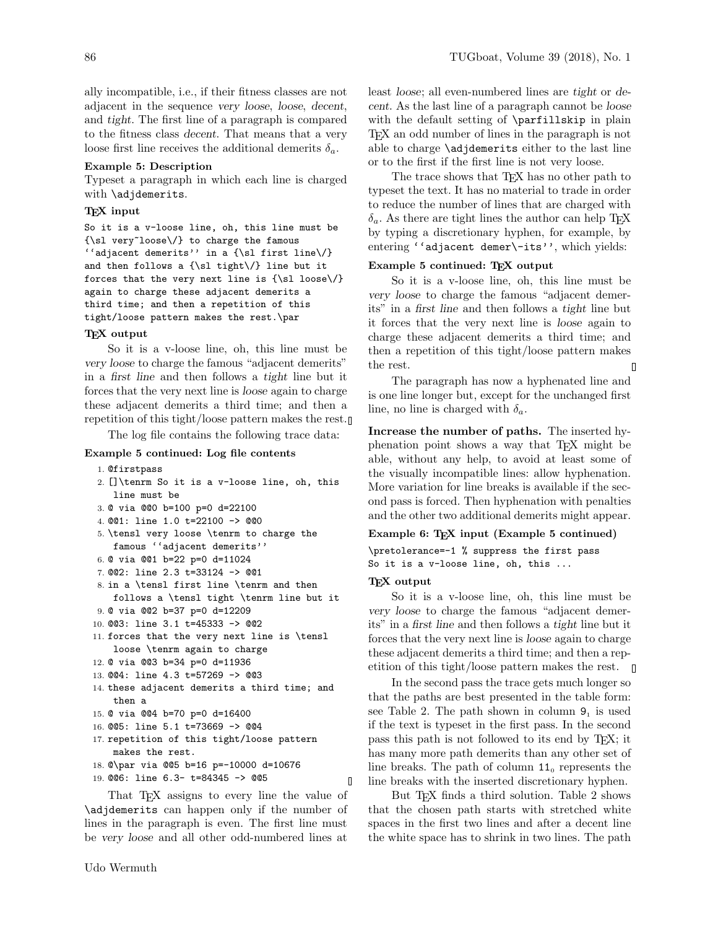ally incompatible, i.e., if their fitness classes are not adjacent in the sequence very loose, loose, decent, and tight. The first line of a paragraph is compared to the fitness class decent. That means that a very loose first line receives the additional demerits  $\delta_a$ .

#### Example 5: Description

Typeset a paragraph in which each line is charged with \adjdemerits.

# T<sub>F</sub>X input

```
So it is a v-loose line, oh, this line must be
{\sl very~loose\/} to charge the famous
''adjacent demerits'' in a {\sl first line\/}
and then follows a {\sl tight\/} line but it
forces that the very next line is \{\s1 loose\}/again to charge these adjacent demerits a
third time; and then a repetition of this
tight/loose pattern makes the rest.\par
```
#### TEX output

So it is a v-loose line, oh, this line must be very loose to charge the famous "adjacent demerits" in a first line and then follows a tight line but it forces that the very next line is loose again to charge these adjacent demerits a third time; and then a repetition of this tight/loose pattern makes the rest.

The log file contains the following trace data:

#### Example 5 continued: Log file contents

```
1. @firstpass
```

```
2. []\tenrm So it is a v-loose line, oh, this
   line must be
```

```
3. @ via @@0 b=100 p=0 d=22100
```

```
4. @@1: line 1.0 t=22100 -> @@0
```

```
5. \tensl very loose \tenrm to charge the
   famous ''adjacent demerits''
```

```
6. @ via @@1 b=22 p=0 d=11024
```

```
7. @@2: line 2.3 t=33124 -> @@1
```

```
8. in a \tensl first line \tenrm and then
  follows a \tensl tight \tenrm line but it
```

```
9. @ via @@2 b=37 p=0 d=12209
10. @@3: line 3.1 t=45333 -> @@2
```

```
11. forces that the very next line is \tensl
   loose \tenrm again to charge
```

```
12. @ via @@3 b=34 p=0 d=11936
```

```
13. @@4: line 4.3 t=57269 -> @@3
```

```
14. these adjacent demerits a third time; and
   then a
```

```
15. @ via @@4 b=70 p=0 d=16400
```

```
16. @@5: line 5.1 t=73669 -> @@4
```

```
17. repetition of this tight/loose pattern
   makes the rest.
```

```
18. @\par via @@5 b=16 p=-10000 d=10676
```

```
19. @@6: line 6.3- t=84345 -> @@5
```
That T<sub>F</sub>X assigns to every line the value of \adjdemerits can happen only if the number of lines in the paragraph is even. The first line must be very loose and all other odd-numbered lines at

least loose; all even-numbered lines are tight or decent. As the last line of a paragraph cannot be loose with the default setting of **\parfillskip** in plain TEX an odd number of lines in the paragraph is not able to charge \adjdemerits either to the last line or to the first if the first line is not very loose.

The trace shows that T<sub>EX</sub> has no other path to typeset the text. It has no material to trade in order to reduce the number of lines that are charged with  $\delta_a$ . As there are tight lines the author can help T<sub>E</sub>X by typing a discretionary hyphen, for example, by entering "adjacent demer\-its'', which yields:

# Example 5 continued: TEX output

So it is a v-loose line, oh, this line must be very loose to charge the famous "adjacent demerits" in a first line and then follows a tight line but it forces that the very next line is loose again to charge these adjacent demerits a third time; and then a repetition of this tight/loose pattern makes the rest. П

The paragraph has now a hyphenated line and is one line longer but, except for the unchanged first line, no line is charged with  $\delta_a$ .

Increase the number of paths. The inserted hyphenation point shows a way that TEX might be able, without any help, to avoid at least some of the visually incompatible lines: allow hyphenation. More variation for line breaks is available if the second pass is forced. Then hyphenation with penalties and the other two additional demerits might appear.

# Example 6: TEX input (Example 5 continued)

```
\pretolerance=-1 % suppress the first pass
So it is a v-loose line, oh, this ...
```
# TEX output

 $\mathbf{I}$ 

So it is a v-loose line, oh, this line must be very loose to charge the famous "adjacent demerits" in a first line and then follows a tight line but it forces that the very next line is loose again to charge these adjacent demerits a third time; and then a repetition of this tight/loose pattern makes the rest.  $\Box$ 

In the second pass the trace gets much longer so that the paths are best presented in the table form: see Table 2. The path shown in column  $9<sub>1</sub>$  is used if the text is typeset in the first pass. In the second pass this path is not followed to its end by TEX; it has many more path demerits than any other set of line breaks. The path of column  $11_0$  represents the line breaks with the inserted discretionary hyphen.

But T<sub>EX</sub> finds a third solution. Table 2 shows that the chosen path starts with stretched white spaces in the first two lines and after a decent line the white space has to shrink in two lines. The path